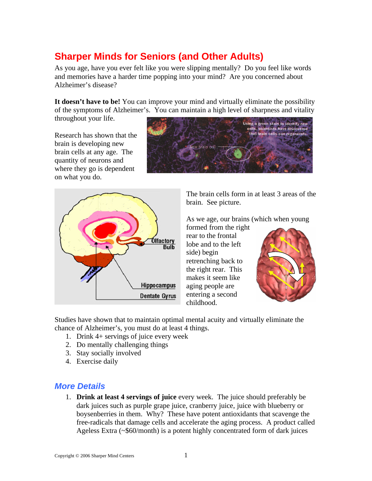# **Sharper Minds for Seniors (and Other Adults)**

As you age, have you ever felt like you were slipping mentally? Do you feel like words and memories have a harder time popping into your mind? Are you concerned about Alzheimer's disease?

It doesn't have to be! You can improve your mind and virtually eliminate the possibility of the symptoms of Alzheimer's. You can maintain a high level of sharpness and vitality

throughout your life.

Research has shown that the brain is developing new brain cells at any age. The quantity of neurons and where they go is dependent on what you do.





The brain cells form in at least 3 areas of the brain. See picture.

As we age, our brains (which when young

formed from the right rear to the frontal lobe and to the left side) begin retrenching back to the right rear. This makes it seem like aging people are entering a second childhood.



Studies have shown that to maintain optimal mental acuity and virtually eliminate the chance of Alzheimer's, you must do at least 4 things.

- 1. Drink 4+ servings of juice every week
- 2. Do mentally challenging things
- 3. Stay socially involved
- 4. Exercise daily

#### *More Details*

1. **Drink at least 4 servings of juice** every week. The juice should preferably be dark juices such as purple grape juice, cranberry juice, juice with blueberry or boysenberries in them. Why? These have potent antioxidants that scavenge the free-radicals that damage cells and accelerate the aging process. A product called Ageless Extra (~\$60/month) is a potent highly concentrated form of dark juices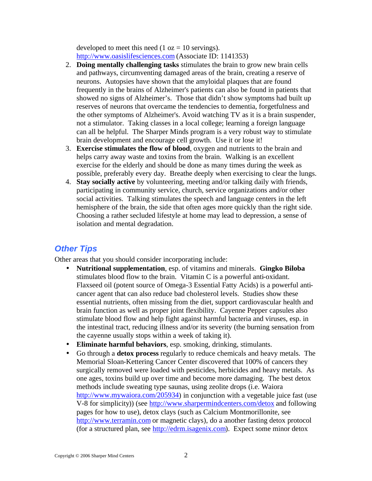developed to meet this need  $(1 oz = 10$  servings). http://www.oasislifesciences.com (Associate ID: 1141353)

- 2. **Doing mentally challenging tasks** stimulates the brain to grow new brain cells and pathways, circumventing damaged areas of the brain, creating a reserve of neurons. Autopsies have shown that the amyloidal plaques that are found frequently in the brains of Alzheimer's patients can also be found in patients that showed no signs of Alzheimer's. Those that didn't show symptoms had built up reserves of neurons that overcame the tendencies to dementia, forgetfulness and the other symptoms of Alzheimer's. Avoid watching TV as it is a brain suspender, not a stimulator. Taking classes in a local college; learning a foreign language can all be helpful. The Sharper Minds program is a very robust way to stimulate brain development and encourage cell growth. Use it or lose it!
- 3. **Exercise stimulates the flow of blood**, oxygen and nutrients to the brain and helps carry away waste and toxins from the brain. Walking is an excellent exercise for the elderly and should be done as many times during the week as possible, preferably every day. Breathe deeply when exercising to clear the lungs.
- 4. **Stay socially active** by volunteering, meeting and/or talking daily with friends, participating in community service, church, service organizations and/or other social activities. Talking stimulates the speech and language centers in the left hemisphere of the brain, the side that often ages more quickly than the right side. Choosing a rather secluded lifestyle at home may lead to depression, a sense of isolation and mental degradation.

# *Other Tips*

Other areas that you should consider incorporating include:

- **Nutritional supplementation**, esp. of vitamins and minerals. **Gingko Biloba** stimulates blood flow to the brain. Vitamin C is a powerful anti-oxidant. Flaxseed oil (potent source of Omega-3 Essential Fatty Acids) is a powerful anticancer agent that can also reduce bad cholesterol levels. Studies show these essential nutrients, often missing from the diet, support cardiovascular health and brain function as well as proper joint flexibility. Cayenne Pepper capsules also stimulate blood flow and help fight against harmful bacteria and viruses, esp. in the intestinal tract, reducing illness and/or its severity (the burning sensation from the cayenne usually stops within a week of taking it).
- **Eliminate harmful behaviors**, esp. smoking, drinking, stimulants.
- Go through a **detox process** regularly to reduce chemicals and heavy metals. The Memorial Sloan-Kettering Cancer Center discovered that 100% of cancers they surgically removed were loaded with pesticides, herbicides and heavy metals. As one ages, toxins build up over time and become more damaging. The best detox methods include sweating type saunas, using zeolite drops (i.e. Waiora http://www.mywaiora.com/205934) in conjunction with a vegetable juice fast (use V-8 for simplicity)) (see http://www.sharpermindcenters.com/detox and following pages for how to use), detox clays (such as Calcium Montmorillonite, see http://www.terramin.com or magnetic clays), do a another fasting detox protocol (for a structured plan, see http://edrm.isagenix.com). Expect some minor detox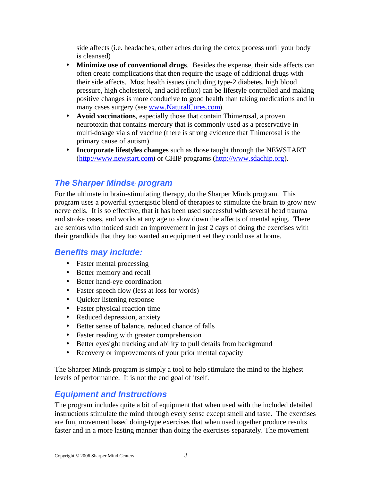side affects (i.e. headaches, other aches during the detox process until your body is cleansed)

- **Minimize use of conventional drugs**. Besides the expense, their side affects can often create complications that then require the usage of additional drugs with their side affects. Most health issues (including type-2 diabetes, high blood pressure, high cholesterol, and acid reflux) can be lifestyle controlled and making positive changes is more conducive to good health than taking medications and in many cases surgery (see www.NaturalCures.com).
- **Avoid vaccinations**, especially those that contain Thimerosal, a proven neurotoxin that contains mercury that is commonly used as a preservative in multi-dosage vials of vaccine (there is strong evidence that Thimerosal is the primary cause of autism).
- **Incorporate lifestyles changes** such as those taught through the NEWSTART (http://www.newstart.com) or CHIP programs (http://www.sdachip.org).

## *The Sharper Minds® program*

For the ultimate in brain-stimulating therapy, do the Sharper Minds program. This program uses a powerful synergistic blend of therapies to stimulate the brain to grow new nerve cells. It is so effective, that it has been used successful with several head trauma and stroke cases, and works at any age to slow down the affects of mental aging. There are seniors who noticed such an improvement in just 2 days of doing the exercises with their grandkids that they too wanted an equipment set they could use at home.

#### *Benefits may include:*

- Faster mental processing
- Better memory and recall
- Better hand-eye coordination
- Faster speech flow (less at loss for words)
- Quicker listening response
- Faster physical reaction time
- Reduced depression, anxiety
- Better sense of balance, reduced chance of falls
- Faster reading with greater comprehension
- Better eyesight tracking and ability to pull details from background
- Recovery or improvements of your prior mental capacity

The Sharper Minds program is simply a tool to help stimulate the mind to the highest levels of performance. It is not the end goal of itself.

#### *Equipment and Instructions*

The program includes quite a bit of equipment that when used with the included detailed instructions stimulate the mind through every sense except smell and taste. The exercises are fun, movement based doing-type exercises that when used together produce results faster and in a more lasting manner than doing the exercises separately. The movement